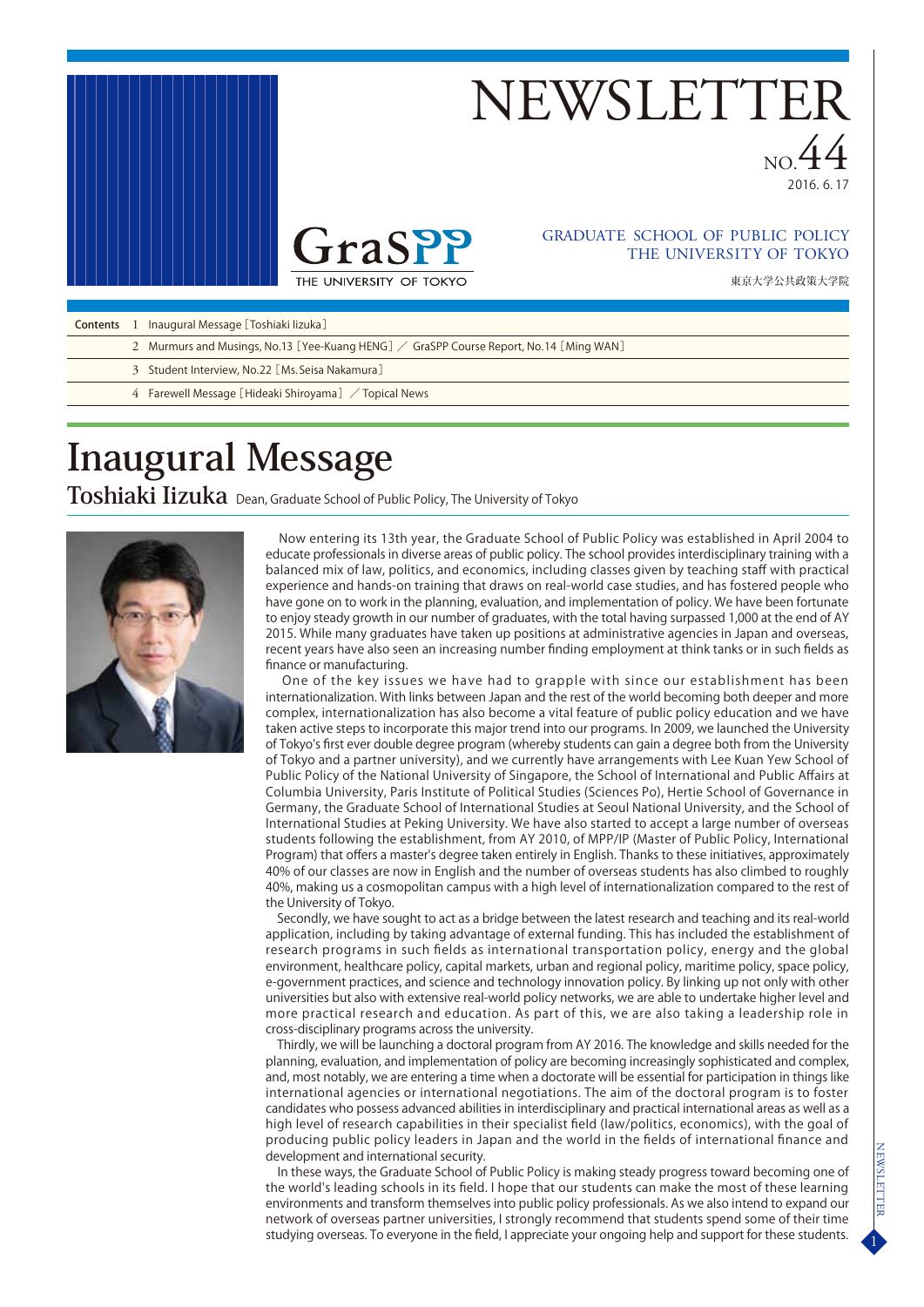

# **NEWSLETTE**

NO. 44



#### THE UNIVERSITY OF TOKYO GRADUATE SCHOOL OF PUBLIC POLICY

東京大学公共政策大学院

| <b>Contents</b> |  | Inaugural Message [Toshiaki lizuka] |
|-----------------|--|-------------------------------------|
|-----------------|--|-------------------------------------|

- 2 Murmurs and Musings, No.13 [Yee-Kuang HENG]  $\diagup$  GraSPP Course Report, No.14 [Ming WAN]
	- 3 Student Interview, No. 22[Ms.Seisa Nakamura]
	- 4 Farewell Message[Hideaki Shiroyama] / Topical News

# **Inaugural Message**

Toshiaki Iizuka Dean, Graduate School of Public Policy, The University of Tokyo



 Now entering its 13th year, the Graduate School of Public Policy was established in April 2004 to educate professionals in diverse areas of public policy. The school provides interdisciplinary training with a balanced mix of law, politics, and economics, including classes given by teaching staff with practical experience and hands-on training that draws on real-world case studies, and has fostered people who have gone on to work in the planning, evaluation, and implementation of policy. We have been fortunate to enjoy steady growth in our number of graduates, with the total having surpassed 1,000 at the end of AY 2015. While many graduates have taken up positions at administrative agencies in Japan and overseas, recent years have also seen an increasing number finding employment at think tanks or in such fields as finance or manufacturing.

 One of the key issues we have had to grapple with since our establishment has been internationalization. With links between Japan and the rest of the world becoming both deeper and more complex, internationalization has also become a vital feature of public policy education and we have taken active steps to incorporate this major trend into our programs. In 2009, we launched the University of Tokyo's first ever double degree program (whereby students can gain a degree both from the University of Tokyo and a partner university), and we currently have arrangements with Lee Kuan Yew School of Public Policy of the National University of Singapore, the School of International and Public Affairs at Columbia University, Paris Institute of Political Studies (Sciences Po), Hertie School of Governance in Germany, the Graduate School of International Studies at Seoul National University, and the School of International Studies at Peking University. We have also started to accept a large number of overseas students following the establishment, from AY 2010, of MPP/IP (Master of Public Policy, International Program) that offers a master's degree taken entirely in English. Thanks to these initiatives, approximately 40% of our classes are now in English and the number of overseas students has also climbed to roughly 40%, making us a cosmopolitan campus with a high level of internationalization compared to the rest of the University of Tokyo.

 Secondly, we have sought to act as a bridge between the latest research and teaching and its real-world application, including by taking advantage of external funding. This has included the establishment of research programs in such fields as international transportation policy, energy and the global environment, healthcare policy, capital markets, urban and regional policy, maritime policy, space policy, e-government practices, and science and technology innovation policy. By linking up not only with other universities but also with extensive real-world policy networks, we are able to undertake higher level and more practical research and education. As part of this, we are also taking a leadership role in cross-disciplinary programs across the university.

 Thirdly, we will be launching a doctoral program from AY 2016. The knowledge and skills needed for the planning, evaluation, and implementation of policy are becoming increasingly sophisticated and complex, and, most notably, we are entering a time when a doctorate will be essential for participation in things like international agencies or international negotiations. The aim of the doctoral program is to foster candidates who possess advanced abilities in interdisciplinary and practical international areas as well as a high level of research capabilities in their specialist field (law/politics, economics), with the goal of producing public policy leaders in Japan and the world in the fields of international finance and development and international security.

 In these ways, the Graduate School of Public Policy is making steady progress toward becoming one of the world's leading schools in its field. I hope that our students can make the most of these learning environments and transform themselves into public policy professionals. As we also intend to expand our network of overseas partner universities, I strongly recommend that students spend some of their time studying overseas. To everyone in the field, I appreciate your ongoing help and support for these students.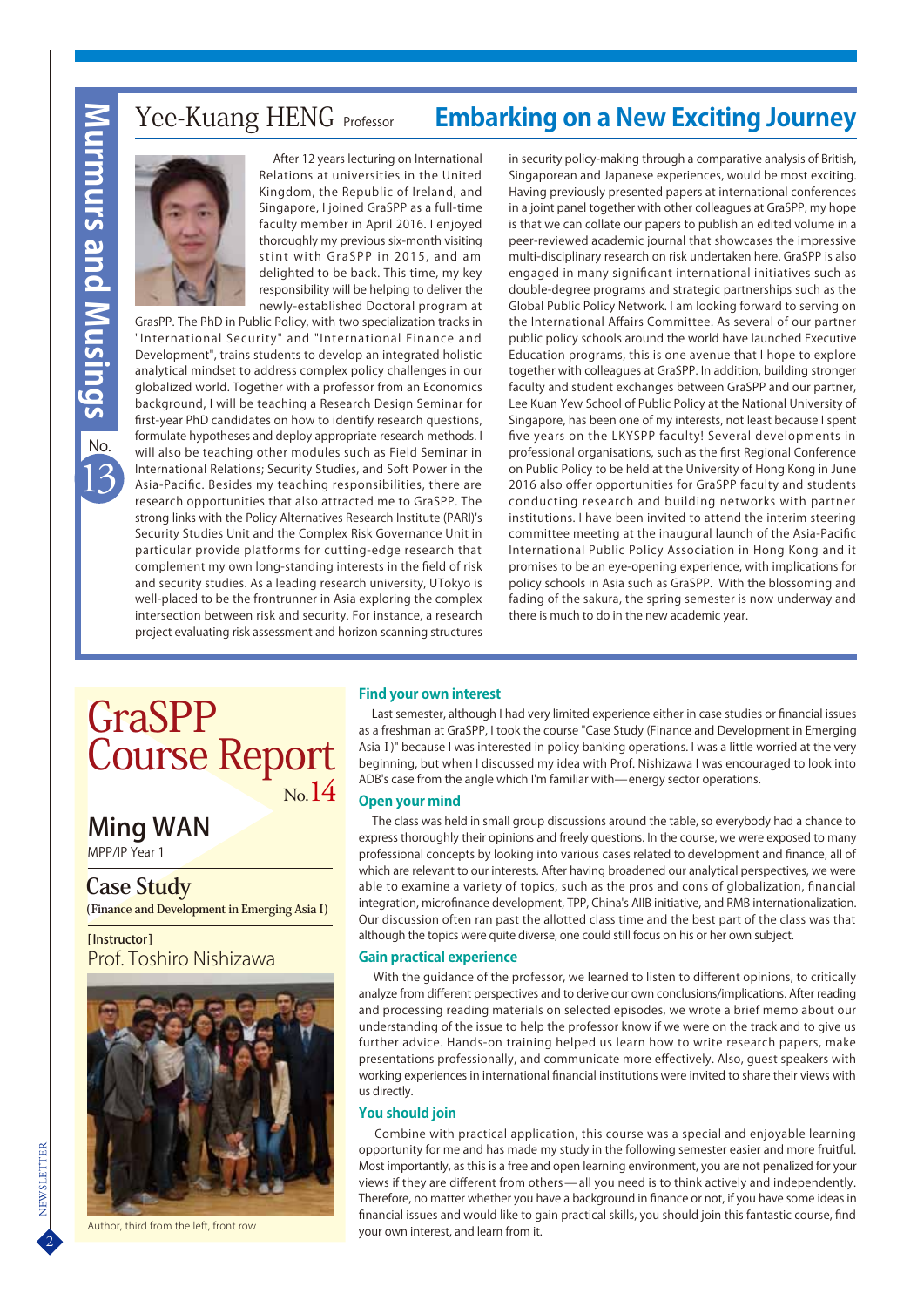# 13**Murmurs and Musings** rmurs and i

No.

### Yee-Kuang HENG Professor **Embarking on a New Exciting Journey**

 After 12 years lecturing on International Relations at universities in the United Kingdom, the Republic of Ireland, and Singapore, I joined GraSPP as a full-time faculty member in April 2016. I enjoyed thoroughly my previous six-month visiting stint with GraSPP in 2015, and am delighted to be back. This time, my key responsibility will be helping to deliver the newly-established Doctoral program at

GrasPP. The PhD in Public Policy, with two specialization tracks in "International Security" and "International Finance and Development", trains students to develop an integrated holistic analytical mindset to address complex policy challenges in our globalized world. Together with a professor from an Economics background, I will be teaching a Research Design Seminar for first-year PhD candidates on how to identify research questions, formulate hypotheses and deploy appropriate research methods. I will also be teaching other modules such as Field Seminar in International Relations; Security Studies, and Soft Power in the Asia-Pacific. Besides my teaching responsibilities, there are research opportunities that also attracted me to GraSPP. The strong links with the Policy Alternatives Research Institute (PARI)'s Security Studies Unit and the Complex Risk Governance Unit in particular provide platforms for cutting-edge research that complement my own long-standing interests in the field of risk and security studies. As a leading research university, UTokyo is well-placed to be the frontrunner in Asia exploring the complex intersection between risk and security. For instance, a research project evaluating risk assessment and horizon scanning structures in security policy-making through a comparative analysis of British, Singaporean and Japanese experiences, would be most exciting. Having previously presented papers at international conferences in a joint panel together with other colleagues at GraSPP, my hope is that we can collate our papers to publish an edited volume in a peer-reviewed academic journal that showcases the impressive multi-disciplinary research on risk undertaken here. GraSPP is also engaged in many significant international initiatives such as double-degree programs and strategic partnerships such as the Global Public Policy Network. I am looking forward to serving on the International Affairs Committee. As several of our partner public policy schools around the world have launched Executive Education programs, this is one avenue that I hope to explore together with colleagues at GraSPP. In addition, building stronger faculty and student exchanges between GraSPP and our partner, Lee Kuan Yew School of Public Policy at the National University of Singapore, has been one of my interests, not least because I spent five years on the LKYSPP faculty! Several developments in professional organisations, such as the first Regional Conference on Public Policy to be held at the University of Hong Kong in June 2016 also offer opportunities for GraSPP faculty and students conducting research and building networks with partner institutions. I have been invited to attend the interim steering committee meeting at the inaugural launch of the Asia-Pacific International Public Policy Association in Hong Kong and it promises to be an eye-opening experience, with implications for policy schools in Asia such as GraSPP. With the blossoming and fading of the sakura, the spring semester is now underway and there is much to do in the new academic year.

## GraSPP Course Report N<sub>o</sub> 14

Ming WAN

MPP/IP Year 1

#### **Case Study**

**(Finance and Development in Emerging Asia I)** 

[Instructor] Prof. Toshiro Nishizawa



Author, third from the left, front row

#### **Find your own interest**

 Last semester, although I had very limited experience either in case studies or financial issues as a freshman at GraSPP, I took the course "Case Study (Finance and Development in Emerging AsiaⅠ)" because I was interested in policy banking operations. I was a little worried at the very beginning, but when I discussed my idea with Prof. Nishizawa I was encouraged to look into ADB's case from the angle which I'm familiar with—energy sector operations.

#### **Open your mind**

 The class was held in small group discussions around the table, so everybody had a chance to express thoroughly their opinions and freely questions. In the course, we were exposed to many professional concepts by looking into various cases related to development and finance, all of which are relevant to our interests. After having broadened our analytical perspectives, we were able to examine a variety of topics, such as the pros and cons of globalization, financial integration, microfinance development, TPP, China's AIIB initiative, and RMB internationalization. Our discussion often ran past the allotted class time and the best part of the class was that although the topics were quite diverse, one could still focus on his or her own subject.

#### **Gain practical experience**

 With the guidance of the professor, we learned to listen to different opinions, to critically analyze from different perspectives and to derive our own conclusions/implications. After reading and processing reading materials on selected episodes, we wrote a brief memo about our understanding of the issue to help the professor know if we were on the track and to give us further advice. Hands-on training helped us learn how to write research papers, make presentations professionally, and communicate more effectively. Also, guest speakers with working experiences in international financial institutions were invited to share their views with us directly.

#### **You should join**

 Combine with practical application, this course was a special and enjoyable learning opportunity for me and has made my study in the following semester easier and more fruitful. Most importantly, as this is a free and open learning environment, you are not penalized for your views if they are different from others - all you need is to think actively and independently. Therefore, no matter whether you have a background in finance or not, if you have some ideas in financial issues and would like to gain practical skills, you should join this fantastic course, find your own interest, and learn from it.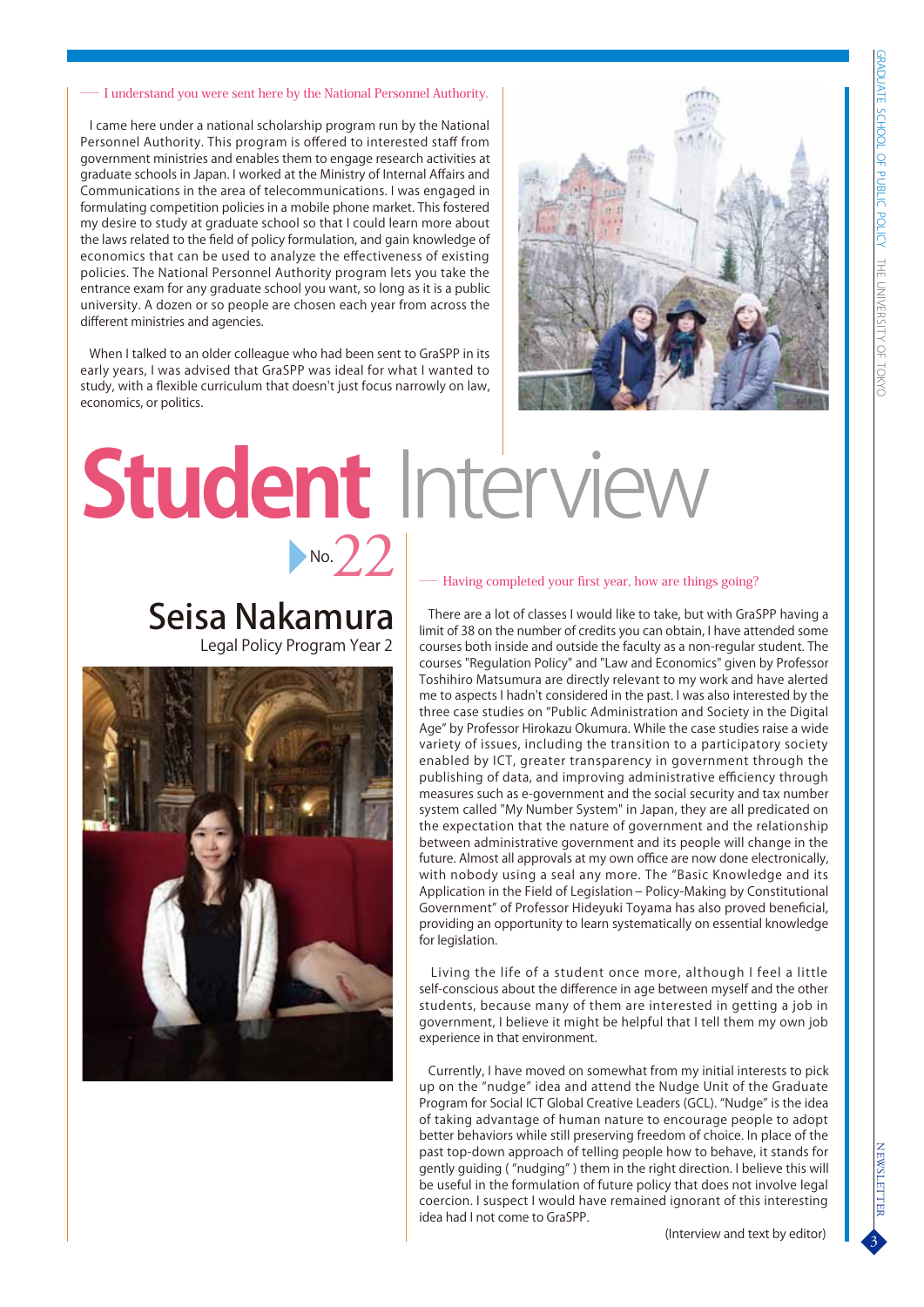#### I understand you were sent here by the National Personnel Authority.

 I came here under a national scholarship program run by the National Personnel Authority. This program is offered to interested staff from government ministries and enables them to engage research activities at graduate schools in Japan. I worked at the Ministry of Internal Affairs and Communications in the area of telecommunications. I was engaged in formulating competition policies in a mobile phone market. This fostered my desire to study at graduate school so that I could learn more about the laws related to the field of policy formulation, and gain knowledge of economics that can be used to analyze the effectiveness of existing policies. The National Personnel Authority program lets you take the entrance exam for any graduate school you want, so long as it is a public university. A dozen or so people are chosen each year from across the different ministries and agencies.

 When I talked to an older colleague who had been sent to GraSPP in its early years, I was advised that GraSPP was ideal for what I wanted to study, with a flexible curriculum that doesn't just focus narrowly on law, economics, or politics.



# **Student** Interview  $N_o \angle 2$

## Seisa Nakamura

Legal Policy Program Year 2



#### Having completed your first year, how are things going?

 There are a lot of classes I would like to take, but with GraSPP having a limit of 38 on the number of credits you can obtain, I have attended some courses both inside and outside the faculty as a non-regular student. The courses "Regulation Policy" and "Law and Economics" given by Professor Toshihiro Matsumura are directly relevant to my work and have alerted me to aspects I hadn't considered in the past. I was also interested by the three case studies on "Public Administration and Society in the Digital Age" by Professor Hirokazu Okumura. While the case studies raise a wide variety of issues, including the transition to a participatory society enabled by ICT, greater transparency in government through the publishing of data, and improving administrative efficiency through measures such as e-government and the social security and tax number system called "My Number System" in Japan, they are all predicated on the expectation that the nature of government and the relationship between administrative government and its people will change in the future. Almost all approvals at my own office are now done electronically, with nobody using a seal any more. The "Basic Knowledge and its Application in the Field of Legislation- Policy-Making by Constitutional Government" of Professor Hideyuki Toyama has also proved beneficial, providing an opportunity to learn systematically on essential knowledge for legislation.

 Living the life of a student once more, although I feel a little self-conscious about the difference in age between myself and the other students, because many of them are interested in getting a job in government, I believe it might be helpful that I tell them my own job experience in that environment.

 Currently, I have moved on somewhat from my initial interests to pick up on the "nudge" idea and attend the Nudge Unit of the Graduate Program for Social ICT Global Creative Leaders (GCL). "Nudge" is the idea of taking advantage of human nature to encourage people to adopt better behaviors while still preserving freedom of choice. In place of the past top-down approach of telling people how to behave, it stands for gently guiding ( "nudging" ) them in the right direction. I believe this will be useful in the formulation of future policy that does not involve legal coercion. I suspect I would have remained ignorant of this interesting idea had I not come to GraSPP.